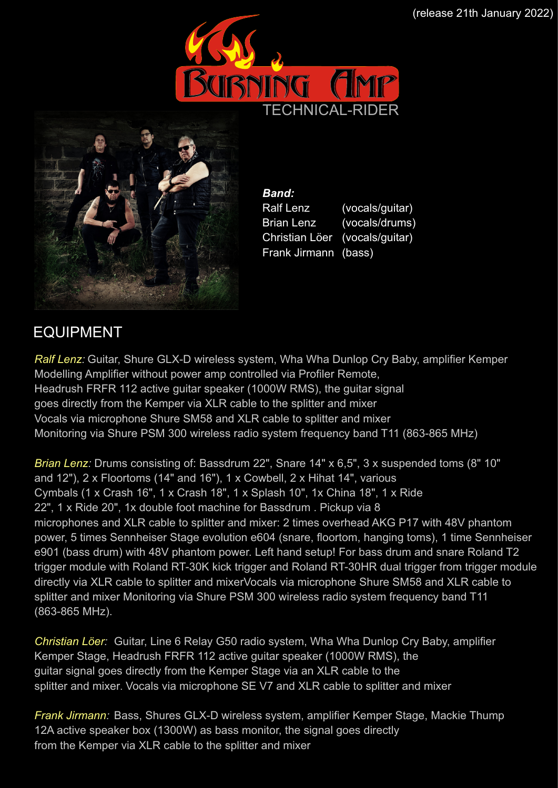



*Band:*  Ralf Lenz (vocals/guitar) Brian Lenz (vocals/drums) Christian Löer (vocals/guitar) Frank Jirmann (bass)

### EQUIPMENT

*Ralf Lenz:* Guitar, Shure GLX-D wireless system, Wha Wha Dunlop Cry Baby, amplifier Kemper Modelling Amplifier without power amp controlled via Profiler Remote, Headrush FRFR 112 active guitar speaker (1000W RMS), the guitar signal goes directly from the Kemper via XLR cable to the splitter and mixer Vocals via microphone Shure SM58 and XLR cable to splitter and mixer Monitoring via Shure PSM 300 wireless radio system frequency band T11 (863-865 MHz)

*Brian Lenz:* Drums consisting of: Bassdrum 22", Snare 14" x 6,5", 3 x suspended toms (8" 10" and 12"), 2 x Floortoms (14" and 16"), 1 x Cowbell, 2 x Hihat 14", various Cymbals (1 x Crash 16", 1 x Crash 18", 1 x Splash 10", 1x China 18", 1 x Ride 22", 1 x Ride 20", 1x double foot machine for Bassdrum . Pickup via 8 microphones and XLR cable to splitter and mixer: 2 times overhead AKG P17 with 48V phantom power, 5 times Sennheiser Stage evolution e604 (snare, floortom, hanging toms), 1 time Sennheiser e901 (bass drum) with 48V phantom power. Left hand setup! For bass drum and snare Roland T2 trigger module with Roland RT-30K kick trigger and Roland RT-30HR dual trigger from trigger module directly via XLR cable to splitter and mixerVocals via microphone Shure SM58 and XLR cable to splitter and mixer Monitoring via Shure PSM 300 wireless radio system frequency band T11 (863-865 MHz).

*Christian Löer:* Guitar, Line 6 Relay G50 radio system, Wha Wha Dunlop Cry Baby, amplifier Kemper Stage, Headrush FRFR 112 active guitar speaker (1000W RMS), the guitar signal goes directly from the Kemper Stage via an XLR cable to the splitter and mixer. Vocals via microphone SE V7 and XLR cable to splitter and mixer

*Frank Jirmann:* Bass, Shures GLX-D wireless system, amplifier Kemper Stage, Mackie Thump 12A active speaker box (1300W) as bass monitor, the signal goes directly from the Kemper via XLR cable to the splitter and mixer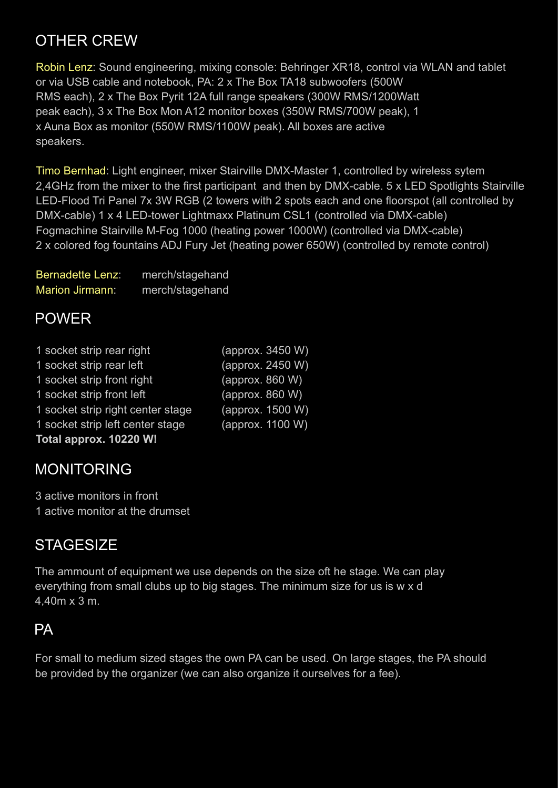## OTHER CREW

Robin Lenz: Sound engineering, mixing console: Behringer XR18, control via WLAN and tablet or via USB cable and notebook, PA: 2 x The Box TA18 subwoofers (500W RMS each), 2 x The Box Pyrit 12A full range speakers (300W RMS/1200Watt peak each), 3 x The Box Mon A12 monitor boxes (350W RMS/700W peak), 1 x Auna Box as monitor (550W RMS/1100W peak). All boxes are active speakers.

Timo Bernhad: Light engineer, mixer Stairville DMX-Master 1, controlled by wireless sytem 2,4GHz from the mixer to the first participant and then by DMX-cable. 5 x LED Spotlights Stairville LED-Flood Tri Panel 7x 3W RGB (2 towers with 2 spots each and one floorspot (all controlled by DMX-cable) 1 x 4 LED-tower Lightmaxx Platinum CSL1 (controlled via DMX-cable) Fogmachine Stairville M-Fog 1000 (heating power 1000W) (controlled via DMX-cable) 2 x colored fog fountains ADJ Fury Jet (heating power 650W) (controlled by remote control)

| <b>Bernadette Lenz:</b> | merch/stagehand |
|-------------------------|-----------------|
| <b>Marion Jirmann:</b>  | merch/stagehand |

#### POWER

| 1 socket strip rear right         | (approx. 3450 W) |
|-----------------------------------|------------------|
| 1 socket strip rear left          | (approx. 2450 W) |
| 1 socket strip front right        | (approx. 860 W)  |
| 1 socket strip front left         | (approx. 860 W)  |
| 1 socket strip right center stage | (approx. 1500 W) |
| 1 socket strip left center stage  | (approx. 1100 W) |
| Total approx. 10220 W!            |                  |

#### MONITORING

3 active monitors in front 1 active monitor at the drumset

#### **STAGESIZE**

The ammount of equipment we use depends on the size oft he stage. We can play everything from small clubs up to big stages. The minimum size for us is w x d 4,40m x 3 m.

#### PA

For small to medium sized stages the own PA can be used. On large stages, the PA should be provided by the organizer (we can also organize it ourselves for a fee).